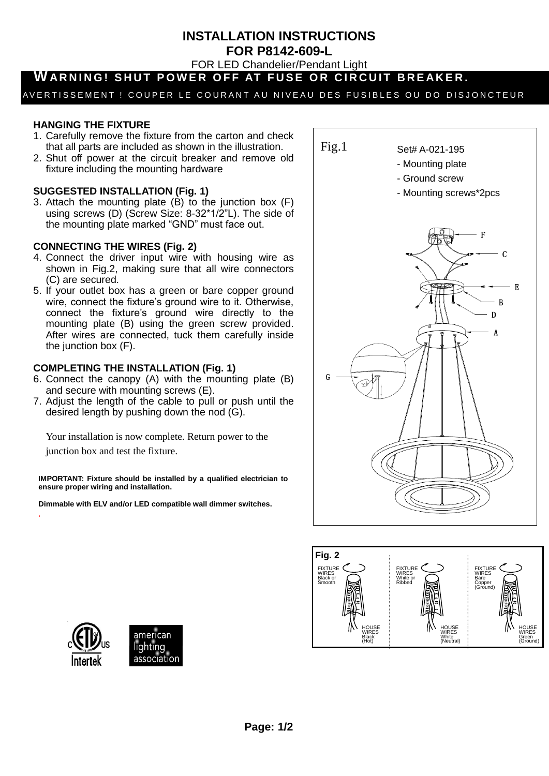**INSTALLATION INSTRUCTIONS**

**FOR P8142-609-L**

FOR LED Chandelier/Pendant Light

# WARNING! SHUT POWER OFF AT FUSE OR CIRCUIT BREAKER.

## AVERTISSEMENT ! COUPER LE COURANT AU NIVEAU DES FUSIBLES OU DO DISJONCTEUR

### **HANGING THE FIXTURE**

- 1. Carefully remove the fixture from the carton and check that all parts are included as shown in the illustration.
- 2. Shut off power at the circuit breaker and remove old fixture including the mounting hardware

#### **SUGGESTED INSTALLATION (Fig. 1)**

3. Attach the mounting plate (B) to the junction box (F) using screws (D) (Screw Size: 8-32\*1/2"L). The side of the mounting plate marked "GND" must face out.

#### **CONNECTING THE WIRES (Fig. 2)**

- 4. Connect the driver input wire with housing wire as shown in Fig.2, making sure that all wire connectors (C) are secured.
- 5. If your outlet box has a green or bare copper ground wire, connect the fixture's ground wire to it. Otherwise, connect the fixture's ground wire directly to the mounting plate (B) using the green screw provided. After wires are connected, tuck them carefully inside the junction box (F).

#### **COMPLETING THE INSTALLATION (Fig. 1)**

- 6. Connect the canopy (A) with the mounting plate (B) and secure with mounting screws (E).
- 7. Adjust the length of the cable to pull or push until the desired length by pushing down the nod (G).

Your installation is now complete. Return power to the junction box and test the fixture.

**IMPORTANT: Fixture should be installed by a qualified electrician to ensure proper wiring and installation.**

**Dimmable with ELV and/or LED compatible wall dimmer switches.**







.